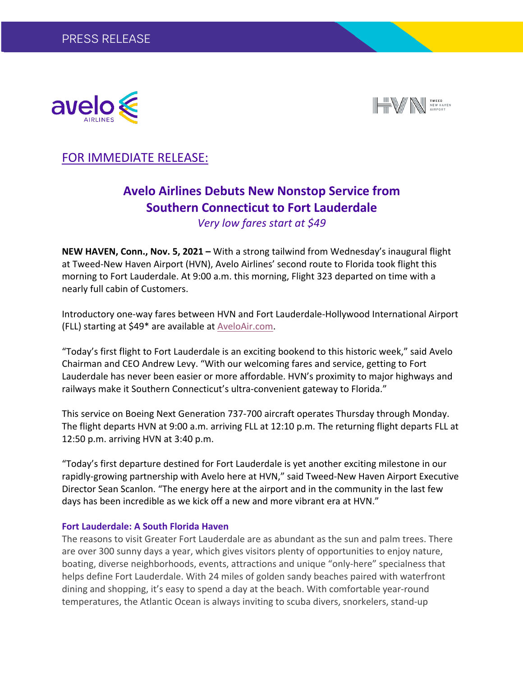



## FOR IMMEDIATE RELEASE:

# **Avelo Airlines Debuts New Nonstop Service from Southern Connecticut to Fort Lauderdale**

*Very low fares start at \$49*

**NEW HAVEN, Conn., Nov. 5, 2021 –** With a strong tailwind from Wednesday's inaugural flight at Tweed-New Haven Airport (HVN), Avelo Airlines' second route to Florida took flight this morning to Fort Lauderdale. At 9:00 a.m. this morning, Flight 323 departed on time with a nearly full cabin of Customers.

Introductory one-way fares between HVN and Fort Lauderdale-Hollywood International Airport (FLL) starting at \$49\* are available at AveloAir.com.

"Today's first flight to Fort Lauderdale is an exciting bookend to this historic week," said Avelo Chairman and CEO Andrew Levy. "With our welcoming fares and service, getting to Fort Lauderdale has never been easier or more affordable. HVN's proximity to major highways and railways make it Southern Connecticut's ultra-convenient gateway to Florida."

This service on Boeing Next Generation 737-700 aircraft operates Thursday through Monday. The flight departs HVN at 9:00 a.m. arriving FLL at 12:10 p.m. The returning flight departs FLL at 12:50 p.m. arriving HVN at 3:40 p.m.

"Today's first departure destined for Fort Lauderdale is yet another exciting milestone in our rapidly-growing partnership with Avelo here at HVN," said Tweed-New Haven Airport Executive Director Sean Scanlon. "The energy here at the airport and in the community in the last few days has been incredible as we kick off a new and more vibrant era at HVN."

#### **Fort Lauderdale: A South Florida Haven**

The reasons to visit Greater Fort Lauderdale are as abundant as the sun and palm trees. There are over 300 sunny days a year, which gives visitors plenty of opportunities to enjoy nature, boating, diverse neighborhoods, events, attractions and unique "only-here" specialness that helps define Fort Lauderdale. With 24 miles of golden sandy beaches paired with waterfront dining and shopping, it's easy to spend a day at the beach. With comfortable year-round temperatures, the Atlantic Ocean is always inviting to scuba divers, snorkelers, stand-up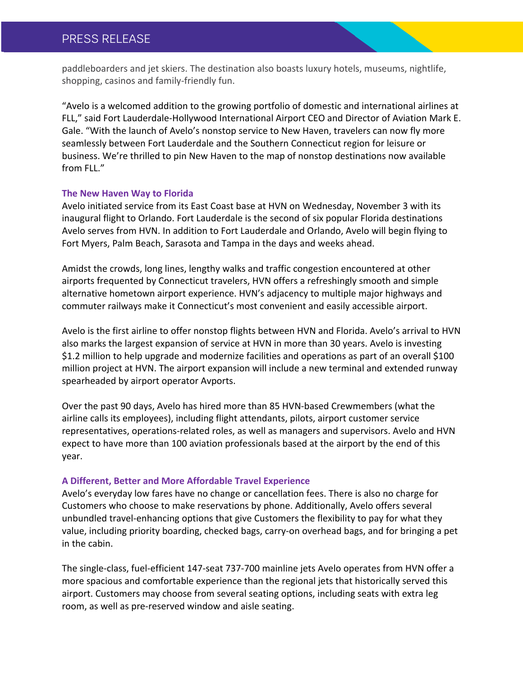## PRESS RELEASE

paddleboarders and jet skiers. The destination also boasts luxury hotels, museums, nightlife, shopping, casinos and family-friendly fun.

"Avelo is a welcomed addition to the growing portfolio of domestic and international airlines at FLL," said Fort Lauderdale-Hollywood International Airport CEO and Director of Aviation Mark E. Gale. "With the launch of Avelo's nonstop service to New Haven, travelers can now fly more seamlessly between Fort Lauderdale and the Southern Connecticut region for leisure or business. We're thrilled to pin New Haven to the map of nonstop destinations now available from FLL."

#### **The New Haven Way to Florida**

Avelo initiated service from its East Coast base at HVN on Wednesday, November 3 with its inaugural flight to Orlando. Fort Lauderdale is the second of six popular Florida destinations Avelo serves from HVN. In addition to Fort Lauderdale and Orlando, Avelo will begin flying to Fort Myers, Palm Beach, Sarasota and Tampa in the days and weeks ahead.

Amidst the crowds, long lines, lengthy walks and traffic congestion encountered at other airports frequented by Connecticut travelers, HVN offers a refreshingly smooth and simple alternative hometown airport experience. HVN's adjacency to multiple major highways and commuter railways make it Connecticut's most convenient and easily accessible airport.

Avelo is the first airline to offer nonstop flights between HVN and Florida. Avelo's arrival to HVN also marks the largest expansion of service at HVN in more than 30 years. Avelo is investing \$1.2 million to help upgrade and modernize facilities and operations as part of an overall \$100 million project at HVN. The airport expansion will include a new terminal and extended runway spearheaded by airport operator Avports.

Over the past 90 days, Avelo has hired more than 85 HVN-based Crewmembers (what the airline calls its employees), including flight attendants, pilots, airport customer service representatives, operations-related roles, as well as managers and supervisors. Avelo and HVN expect to have more than 100 aviation professionals based at the airport by the end of this year.

#### **A Different, Better and More Affordable Travel Experience**

Avelo's everyday low fares have no change or cancellation fees. There is also no charge for Customers who choose to make reservations by phone. Additionally, Avelo offers several unbundled travel-enhancing options that give Customers the flexibility to pay for what they value, including priority boarding, checked bags, carry-on overhead bags, and for bringing a pet in the cabin.

The single-class, fuel-efficient 147-seat 737-700 mainline jets Avelo operates from HVN offer a more spacious and comfortable experience than the regional jets that historically served this airport. Customers may choose from several seating options, including seats with extra leg room, as well as pre-reserved window and aisle seating.